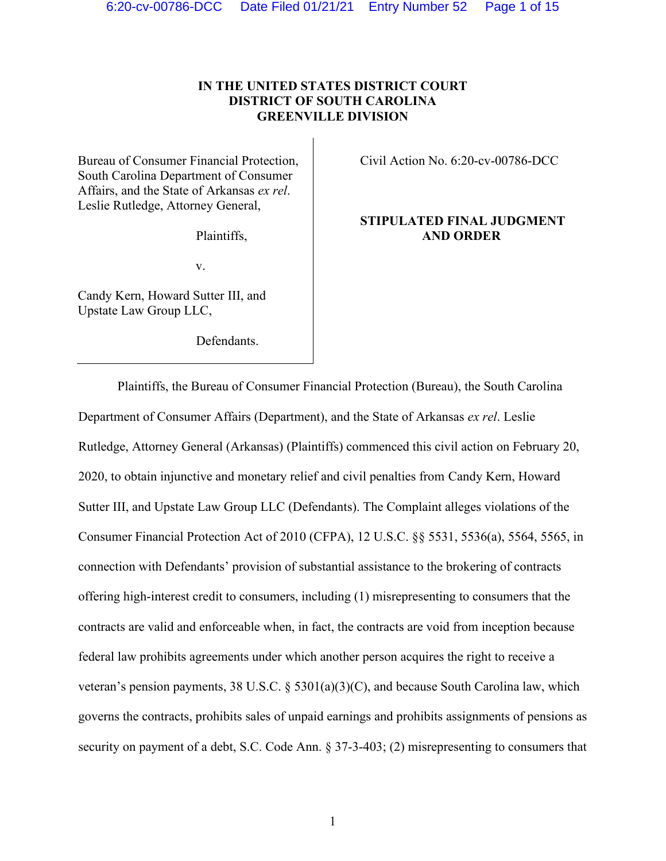# **IN THE UNITED STATES DISTRICT COURT DISTRICT OF SOUTH CAROLINA GREENVILLE DIVISION**

Bureau of Consumer Financial Protection, South Carolina Department of Consumer Affairs, and the State of Arkansas *ex rel*. Leslie Rutledge, Attorney General,

Plaintiffs,

v.

Candy Kern, Howard Sutter III, and Upstate Law Group LLC,

Defendants.

Civil Action No. 6:20-cv-00786-DCC

# **STIPULATED FINAL JUDGMENT AND ORDER**

Plaintiffs, the Bureau of Consumer Financial Protection (Bureau), the South Carolina Department of Consumer Affairs (Department), and the State of Arkansas *ex rel*. Leslie Rutledge, Attorney General (Arkansas) (Plaintiffs) commenced this civil action on February 20, 2020, to obtain injunctive and monetary relief and civil penalties from Candy Kern, Howard Sutter III, and Upstate Law Group LLC (Defendants). The Complaint alleges violations of the Consumer Financial Protection Act of 2010 (CFPA), 12 U.S.C. §§ 5531, 5536(a), 5564, 5565, in connection with Defendants' provision of substantial assistance to the brokering of contracts offering high-interest credit to consumers, including (1) misrepresenting to consumers that the contracts are valid and enforceable when, in fact, the contracts are void from inception because federal law prohibits agreements under which another person acquires the right to receive a veteran's pension payments, 38 U.S.C. § 5301(a)(3)(C), and because South Carolina law, which governs the contracts, prohibits sales of unpaid earnings and prohibits assignments of pensions as security on payment of a debt, S.C. Code Ann. § 37-3-403; (2) misrepresenting to consumers that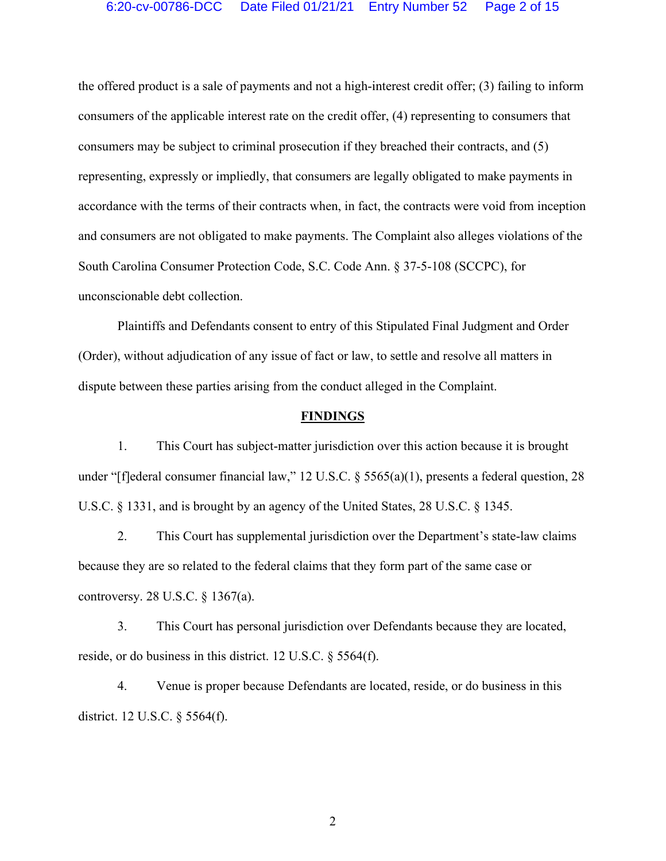the offered product is a sale of payments and not a high-interest credit offer; (3) failing to inform consumers of the applicable interest rate on the credit offer, (4) representing to consumers that consumers may be subject to criminal prosecution if they breached their contracts, and (5) representing, expressly or impliedly, that consumers are legally obligated to make payments in accordance with the terms of their contracts when, in fact, the contracts were void from inception and consumers are not obligated to make payments. The Complaint also alleges violations of the South Carolina Consumer Protection Code, S.C. Code Ann. § 37-5-108 (SCCPC), for unconscionable debt collection.

Plaintiffs and Defendants consent to entry of this Stipulated Final Judgment and Order (Order), without adjudication of any issue of fact or law, to settle and resolve all matters in dispute between these parties arising from the conduct alleged in the Complaint.

#### **FINDINGS**

1. This Court has subject-matter jurisdiction over this action because it is brought under "[f]ederal consumer financial law," 12 U.S.C. § 5565(a)(1), presents a federal question, 28 U.S.C. § 1331, and is brought by an agency of the United States, 28 U.S.C. § 1345.

2. This Court has supplemental jurisdiction over the Department's state-law claims because they are so related to the federal claims that they form part of the same case or controversy. 28 U.S.C. § 1367(a).

3. This Court has personal jurisdiction over Defendants because they are located, reside, or do business in this district. 12 U.S.C. § 5564(f).

4. Venue is proper because Defendants are located, reside, or do business in this district. 12 U.S.C. § 5564(f).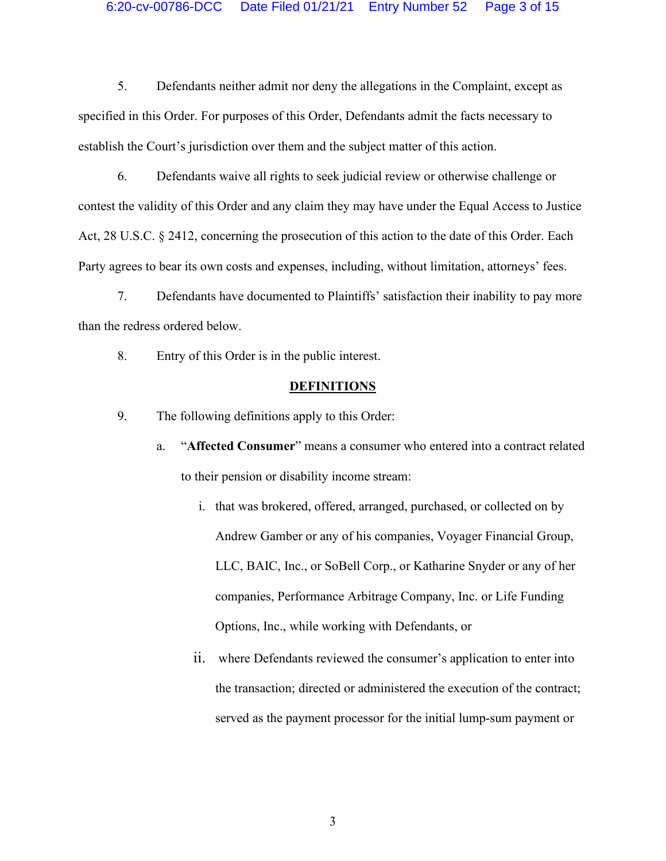#### 6:20-cv-00786-DCC Date Filed 01/21/21 Entry Number 52 Page 3 of 15

5. Defendants neither admit nor deny the allegations in the Complaint, except as specified in this Order. For purposes of this Order, Defendants admit the facts necessary to establish the Court's jurisdiction over them and the subject matter of this action.

6. Defendants waive all rights to seek judicial review or otherwise challenge or contest the validity of this Order and any claim they may have under the Equal Access to Justice Act, 28 U.S.C. § 2412, concerning the prosecution of this action to the date of this Order. Each Party agrees to bear its own costs and expenses, including, without limitation, attorneys' fees.

7. Defendants have documented to Plaintiffs' satisfaction their inability to pay more than the redress ordered below.

8. Entry of this Order is in the public interest.

## **DEFINITIONS**

9. The following definitions apply to this Order:

- a. "**Affected Consumer**" means a consumer who entered into a contract related to their pension or disability income stream:
	- i. that was brokered, offered, arranged, purchased, or collected on by Andrew Gamber or any of his companies, Voyager Financial Group, LLC, BAIC, Inc., or SoBell Corp., or Katharine Snyder or any of her companies, Performance Arbitrage Company, Inc. or Life Funding Options, Inc., while working with Defendants, or
	- ii. where Defendants reviewed the consumer's application to enter into the transaction; directed or administered the execution of the contract; served as the payment processor for the initial lump-sum payment or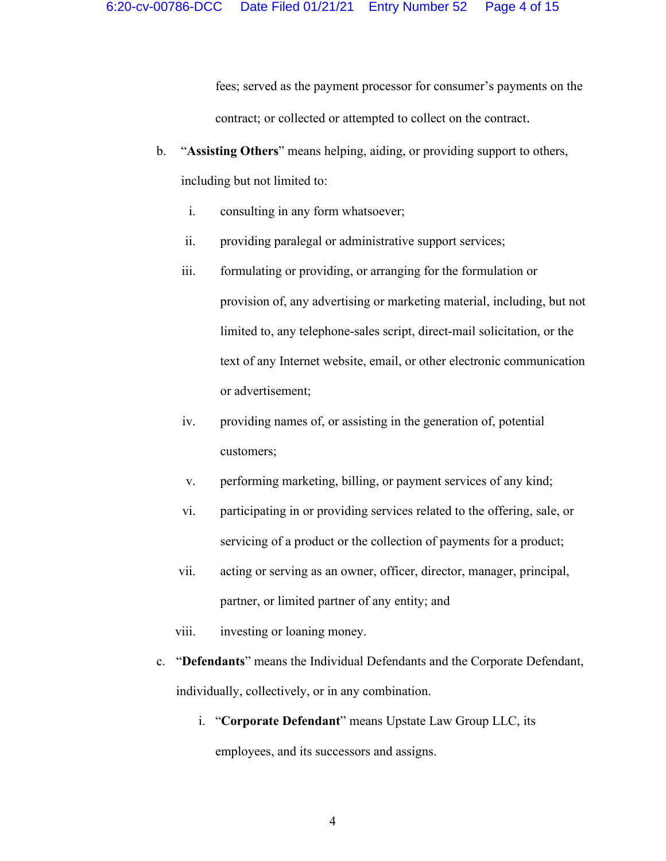fees; served as the payment processor for consumer's payments on the contract; or collected or attempted to collect on the contract.

- b. "**Assisting Others**" means helping, aiding, or providing support to others, including but not limited to:
	- i. consulting in any form whatsoever;
	- ii. providing paralegal or administrative support services;
	- iii. formulating or providing, or arranging for the formulation or provision of, any advertising or marketing material, including, but not limited to, any telephone-sales script, direct-mail solicitation, or the text of any Internet website, email, or other electronic communication or advertisement;
	- iv. providing names of, or assisting in the generation of, potential customers;
	- v. performing marketing, billing, or payment services of any kind;
	- vi. participating in or providing services related to the offering, sale, or servicing of a product or the collection of payments for a product;
	- vii. acting or serving as an owner, officer, director, manager, principal, partner, or limited partner of any entity; and
	- viii. investing or loaning money.
- c. "**Defendants**" means the Individual Defendants and the Corporate Defendant, individually, collectively, or in any combination.
	- i. "**Corporate Defendant**" means Upstate Law Group LLC, its employees, and its successors and assigns.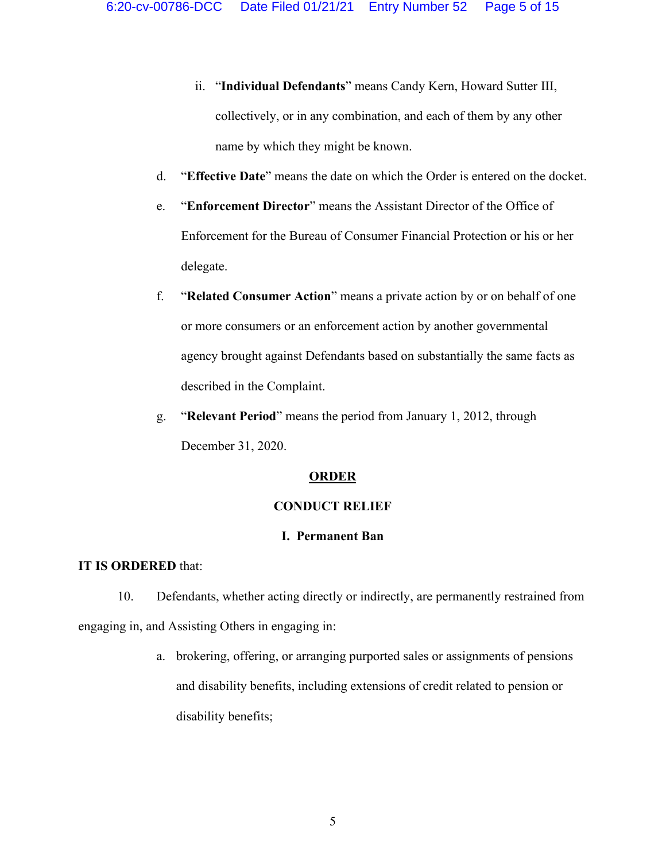- ii. "**Individual Defendants**" means Candy Kern, Howard Sutter III, collectively, or in any combination, and each of them by any other name by which they might be known.
- d. "**Effective Date**" means the date on which the Order is entered on the docket.
- e. "**Enforcement Director**" means the Assistant Director of the Office of Enforcement for the Bureau of Consumer Financial Protection or his or her delegate.
- f. "**Related Consumer Action**" means a private action by or on behalf of one or more consumers or an enforcement action by another governmental agency brought against Defendants based on substantially the same facts as described in the Complaint.
- g. "**Relevant Period**" means the period from January 1, 2012, through December 31, 2020.

## **ORDER**

## **CONDUCT RELIEF**

## **I. Permanent Ban**

## **IT IS ORDERED** that:

10. Defendants, whether acting directly or indirectly, are permanently restrained from engaging in, and Assisting Others in engaging in:

> a. brokering, offering, or arranging purported sales or assignments of pensions and disability benefits, including extensions of credit related to pension or disability benefits;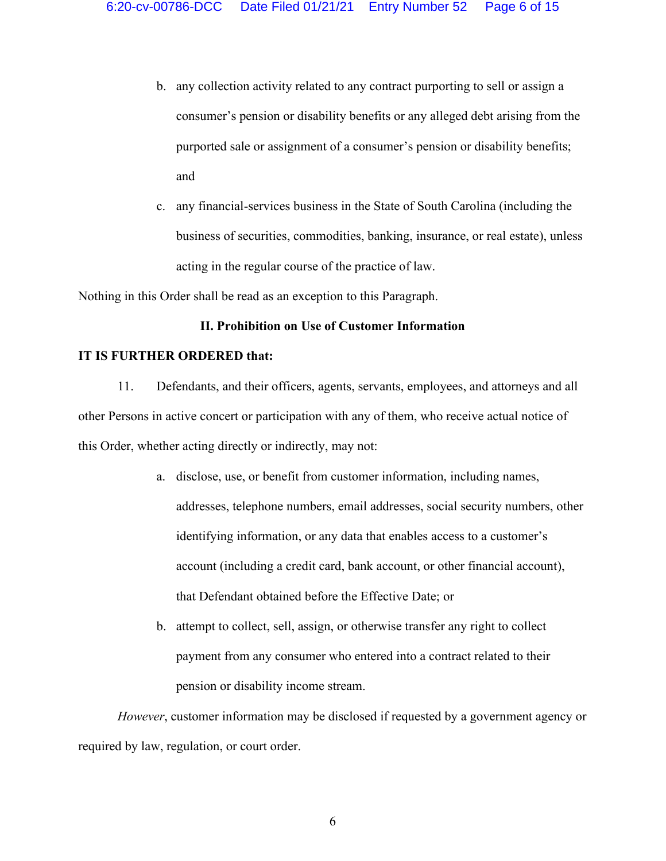- b. any collection activity related to any contract purporting to sell or assign a consumer's pension or disability benefits or any alleged debt arising from the purported sale or assignment of a consumer's pension or disability benefits; and
- c. any financial-services business in the State of South Carolina (including the business of securities, commodities, banking, insurance, or real estate), unless acting in the regular course of the practice of law.

Nothing in this Order shall be read as an exception to this Paragraph.

## **II. Prohibition on Use of Customer Information**

#### **IT IS FURTHER ORDERED that:**

11. Defendants, and their officers, agents, servants, employees, and attorneys and all other Persons in active concert or participation with any of them, who receive actual notice of this Order, whether acting directly or indirectly, may not:

- a. disclose, use, or benefit from customer information, including names, addresses, telephone numbers, email addresses, social security numbers, other identifying information, or any data that enables access to a customer's account (including a credit card, bank account, or other financial account), that Defendant obtained before the Effective Date; or
- b. attempt to collect, sell, assign, or otherwise transfer any right to collect payment from any consumer who entered into a contract related to their pension or disability income stream.

*However*, customer information may be disclosed if requested by a government agency or required by law, regulation, or court order.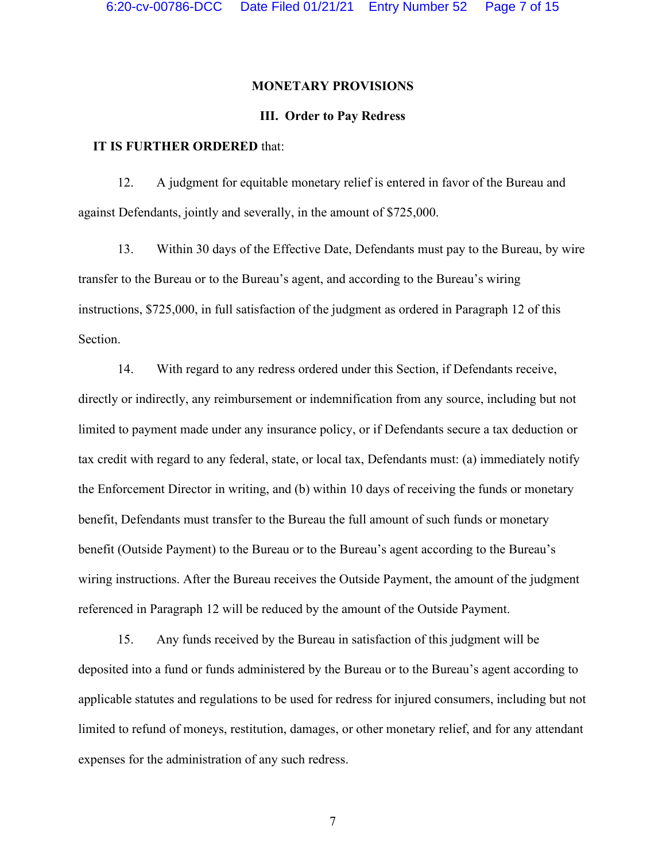#### **MONETARY PROVISIONS**

## **III. Order to Pay Redress**

# **IT IS FURTHER ORDERED** that:

12. A judgment for equitable monetary relief is entered in favor of the Bureau and against Defendants, jointly and severally, in the amount of \$725,000.

13. Within 30 days of the Effective Date, Defendants must pay to the Bureau, by wire transfer to the Bureau or to the Bureau's agent, and according to the Bureau's wiring instructions, \$725,000, in full satisfaction of the judgment as ordered in Paragraph 12 of this Section.

14. With regard to any redress ordered under this Section, if Defendants receive, directly or indirectly, any reimbursement or indemnification from any source, including but not limited to payment made under any insurance policy, or if Defendants secure a tax deduction or tax credit with regard to any federal, state, or local tax, Defendants must: (a) immediately notify the Enforcement Director in writing, and (b) within 10 days of receiving the funds or monetary benefit, Defendants must transfer to the Bureau the full amount of such funds or monetary benefit (Outside Payment) to the Bureau or to the Bureau's agent according to the Bureau's wiring instructions. After the Bureau receives the Outside Payment, the amount of the judgment referenced in Paragraph 12 will be reduced by the amount of the Outside Payment.

15. Any funds received by the Bureau in satisfaction of this judgment will be deposited into a fund or funds administered by the Bureau or to the Bureau's agent according to applicable statutes and regulations to be used for redress for injured consumers, including but not limited to refund of moneys, restitution, damages, or other monetary relief, and for any attendant expenses for the administration of any such redress.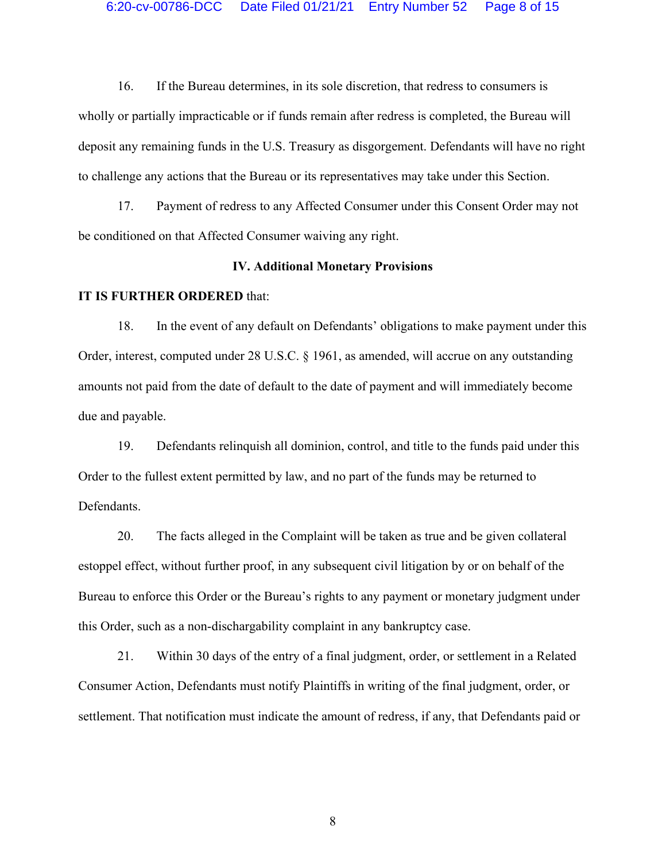16. If the Bureau determines, in its sole discretion, that redress to consumers is wholly or partially impracticable or if funds remain after redress is completed, the Bureau will deposit any remaining funds in the U.S. Treasury as disgorgement. Defendants will have no right to challenge any actions that the Bureau or its representatives may take under this Section.

17. Payment of redress to any Affected Consumer under this Consent Order may not be conditioned on that Affected Consumer waiving any right.

#### **IV. Additional Monetary Provisions**

#### **IT IS FURTHER ORDERED** that:

18. In the event of any default on Defendants' obligations to make payment under this Order, interest, computed under 28 U.S.C. § 1961, as amended, will accrue on any outstanding amounts not paid from the date of default to the date of payment and will immediately become due and payable.

19. Defendants relinquish all dominion, control, and title to the funds paid under this Order to the fullest extent permitted by law, and no part of the funds may be returned to Defendants.

20. The facts alleged in the Complaint will be taken as true and be given collateral estoppel effect, without further proof, in any subsequent civil litigation by or on behalf of the Bureau to enforce this Order or the Bureau's rights to any payment or monetary judgment under this Order, such as a non-dischargability complaint in any bankruptcy case.

21. Within 30 days of the entry of a final judgment, order, or settlement in a Related Consumer Action, Defendants must notify Plaintiffs in writing of the final judgment, order, or settlement. That notification must indicate the amount of redress, if any, that Defendants paid or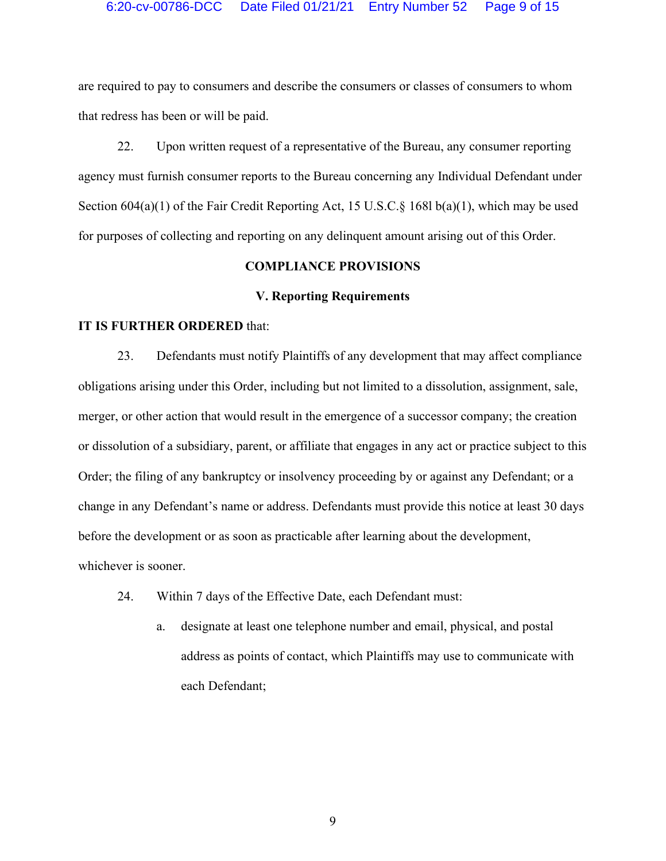are required to pay to consumers and describe the consumers or classes of consumers to whom that redress has been or will be paid.

22. Upon written request of a representative of the Bureau, any consumer reporting agency must furnish consumer reports to the Bureau concerning any Individual Defendant under Section  $604(a)(1)$  of the Fair Credit Reporting Act, 15 U.S.C. § 168l b(a)(1), which may be used for purposes of collecting and reporting on any delinquent amount arising out of this Order.

# **COMPLIANCE PROVISIONS**

#### **V. Reporting Requirements**

## **IT IS FURTHER ORDERED** that:

23. Defendants must notify Plaintiffs of any development that may affect compliance obligations arising under this Order, including but not limited to a dissolution, assignment, sale, merger, or other action that would result in the emergence of a successor company; the creation or dissolution of a subsidiary, parent, or affiliate that engages in any act or practice subject to this Order; the filing of any bankruptcy or insolvency proceeding by or against any Defendant; or a change in any Defendant's name or address. Defendants must provide this notice at least 30 days before the development or as soon as practicable after learning about the development, whichever is sooner.

- 24. Within 7 days of the Effective Date, each Defendant must:
	- a. designate at least one telephone number and email, physical, and postal address as points of contact, which Plaintiffs may use to communicate with each Defendant;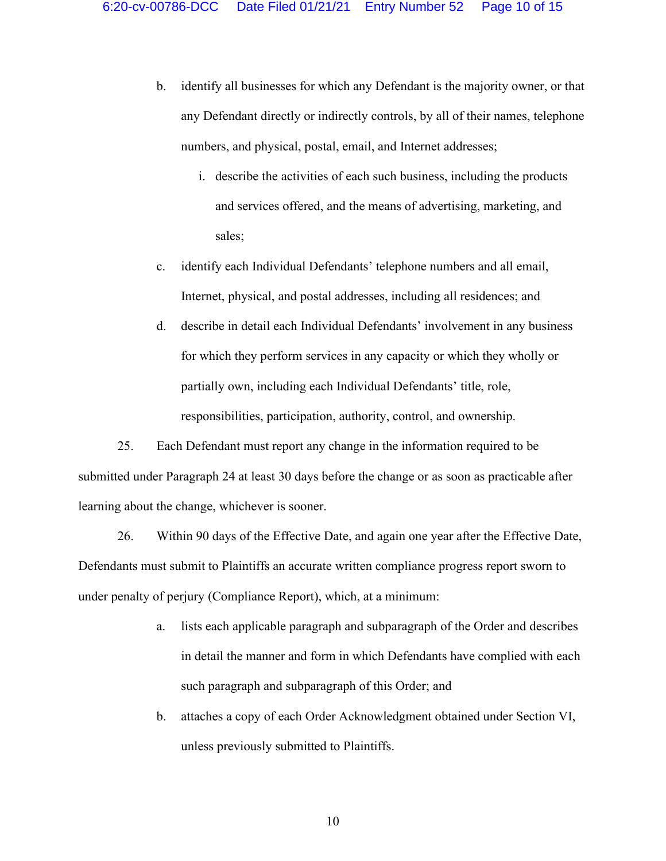- b. identify all businesses for which any Defendant is the majority owner, or that any Defendant directly or indirectly controls, by all of their names, telephone numbers, and physical, postal, email, and Internet addresses;
	- i. describe the activities of each such business, including the products and services offered, and the means of advertising, marketing, and sales;
- c. identify each Individual Defendants' telephone numbers and all email, Internet, physical, and postal addresses, including all residences; and
- d. describe in detail each Individual Defendants' involvement in any business for which they perform services in any capacity or which they wholly or partially own, including each Individual Defendants' title, role, responsibilities, participation, authority, control, and ownership.

25. Each Defendant must report any change in the information required to be submitted under Paragraph 24 at least 30 days before the change or as soon as practicable after learning about the change, whichever is sooner.

26. Within 90 days of the Effective Date, and again one year after the Effective Date, Defendants must submit to Plaintiffs an accurate written compliance progress report sworn to under penalty of perjury (Compliance Report), which, at a minimum:

- a. lists each applicable paragraph and subparagraph of the Order and describes in detail the manner and form in which Defendants have complied with each such paragraph and subparagraph of this Order; and
- b. attaches a copy of each Order Acknowledgment obtained under Section VI, unless previously submitted to Plaintiffs.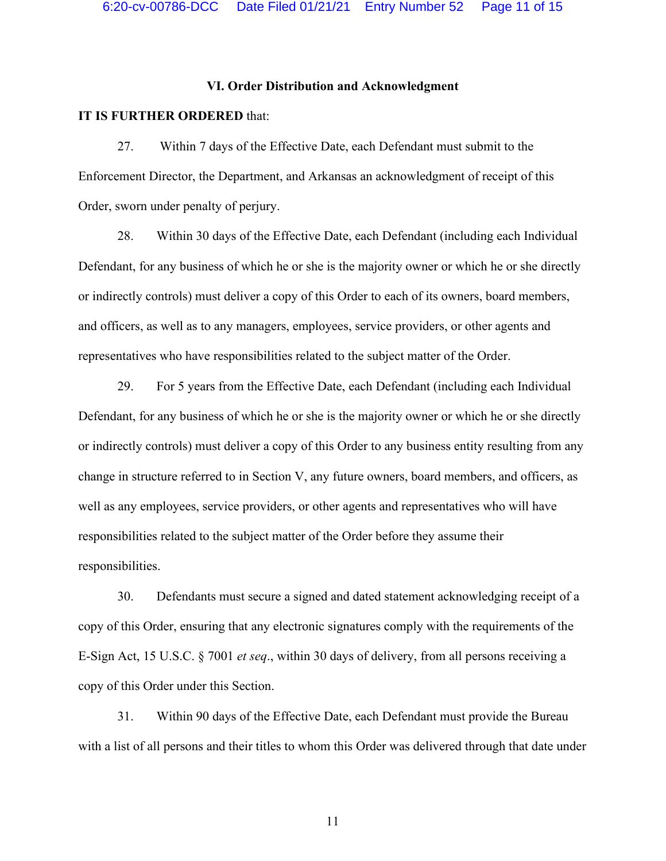## **VI. Order Distribution and Acknowledgment**

#### **IT IS FURTHER ORDERED** that:

27. Within 7 days of the Effective Date, each Defendant must submit to the Enforcement Director, the Department, and Arkansas an acknowledgment of receipt of this Order, sworn under penalty of perjury.

28. Within 30 days of the Effective Date, each Defendant (including each Individual Defendant, for any business of which he or she is the majority owner or which he or she directly or indirectly controls) must deliver a copy of this Order to each of its owners, board members, and officers, as well as to any managers, employees, service providers, or other agents and representatives who have responsibilities related to the subject matter of the Order.

29. For 5 years from the Effective Date, each Defendant (including each Individual Defendant, for any business of which he or she is the majority owner or which he or she directly or indirectly controls) must deliver a copy of this Order to any business entity resulting from any change in structure referred to in Section V, any future owners, board members, and officers, as well as any employees, service providers, or other agents and representatives who will have responsibilities related to the subject matter of the Order before they assume their responsibilities.

30. Defendants must secure a signed and dated statement acknowledging receipt of a copy of this Order, ensuring that any electronic signatures comply with the requirements of the E-Sign Act, 15 U.S.C. § 7001 *et seq*., within 30 days of delivery, from all persons receiving a copy of this Order under this Section.

31. Within 90 days of the Effective Date, each Defendant must provide the Bureau with a list of all persons and their titles to whom this Order was delivered through that date under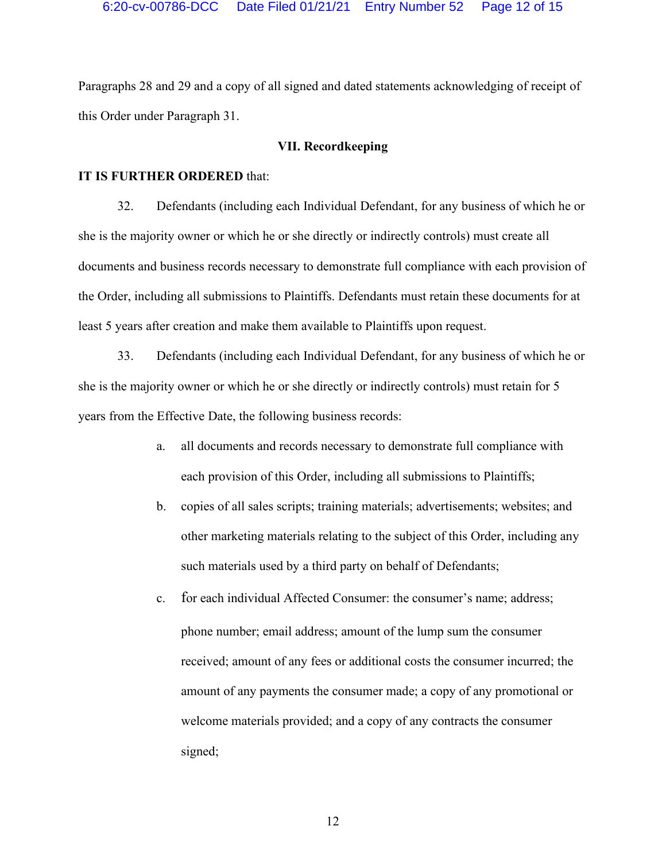Paragraphs 28 and 29 and a copy of all signed and dated statements acknowledging of receipt of this Order under Paragraph 31.

## **VII. Recordkeeping**

#### **IT IS FURTHER ORDERED** that:

32. Defendants (including each Individual Defendant, for any business of which he or she is the majority owner or which he or she directly or indirectly controls) must create all documents and business records necessary to demonstrate full compliance with each provision of the Order, including all submissions to Plaintiffs. Defendants must retain these documents for at least 5 years after creation and make them available to Plaintiffs upon request.

33. Defendants (including each Individual Defendant, for any business of which he or she is the majority owner or which he or she directly or indirectly controls) must retain for 5 years from the Effective Date, the following business records:

- a. all documents and records necessary to demonstrate full compliance with each provision of this Order, including all submissions to Plaintiffs;
- b. copies of all sales scripts; training materials; advertisements; websites; and other marketing materials relating to the subject of this Order, including any such materials used by a third party on behalf of Defendants;
- c. for each individual Affected Consumer: the consumer's name; address; phone number; email address; amount of the lump sum the consumer received; amount of any fees or additional costs the consumer incurred; the amount of any payments the consumer made; a copy of any promotional or welcome materials provided; and a copy of any contracts the consumer signed;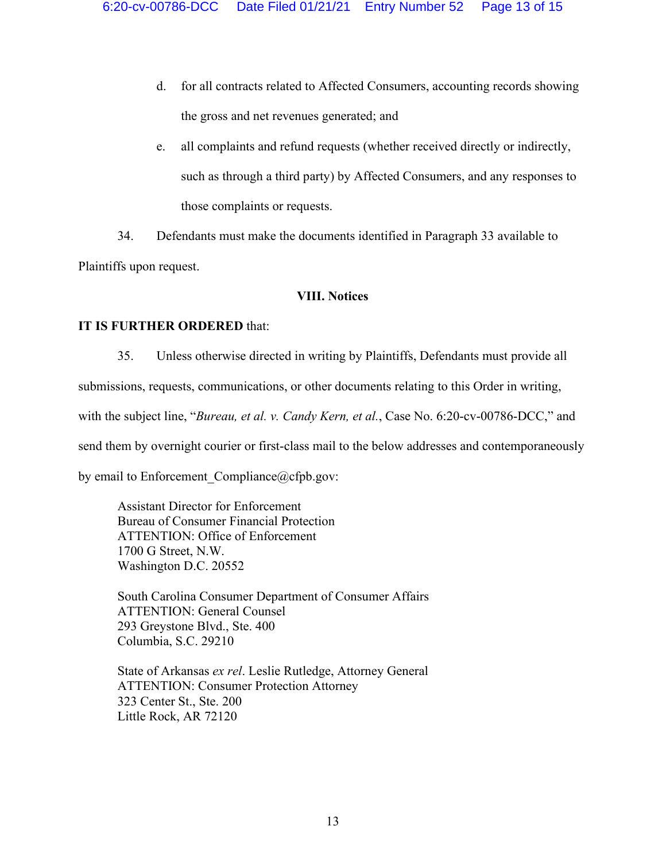- d. for all contracts related to Affected Consumers, accounting records showing the gross and net revenues generated; and
- e. all complaints and refund requests (whether received directly or indirectly, such as through a third party) by Affected Consumers, and any responses to those complaints or requests.

34. Defendants must make the documents identified in Paragraph 33 available to Plaintiffs upon request.

# **VIII. Notices**

# **IT IS FURTHER ORDERED** that:

35. Unless otherwise directed in writing by Plaintiffs, Defendants must provide all submissions, requests, communications, or other documents relating to this Order in writing, with the subject line, "*Bureau, et al. v. Candy Kern, et al.*, Case No. 6:20-cv-00786-DCC," and send them by overnight courier or first-class mail to the below addresses and contemporaneously by email to Enforcement Compliance@cfpb.gov:

Assistant Director for Enforcement Bureau of Consumer Financial Protection ATTENTION: Office of Enforcement 1700 G Street, N.W. Washington D.C. 20552

South Carolina Consumer Department of Consumer Affairs ATTENTION: General Counsel 293 Greystone Blvd., Ste. 400 Columbia, S.C. 29210

State of Arkansas *ex rel*. Leslie Rutledge, Attorney General ATTENTION: Consumer Protection Attorney 323 Center St., Ste. 200 Little Rock, AR 72120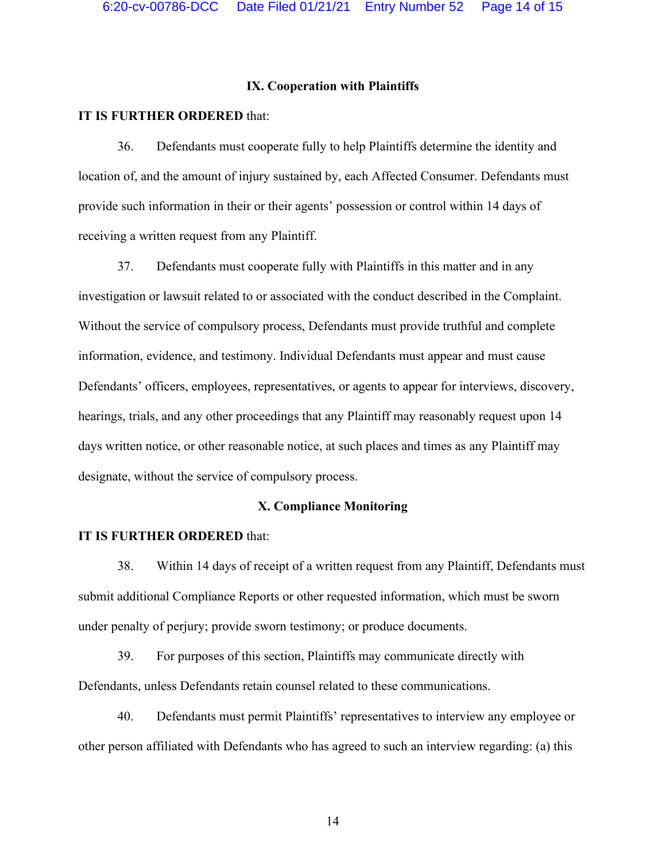## **IX. Cooperation with Plaintiffs**

#### **IT IS FURTHER ORDERED** that:

36. Defendants must cooperate fully to help Plaintiffs determine the identity and location of, and the amount of injury sustained by, each Affected Consumer. Defendants must provide such information in their or their agents' possession or control within 14 days of receiving a written request from any Plaintiff.

37. Defendants must cooperate fully with Plaintiffs in this matter and in any investigation or lawsuit related to or associated with the conduct described in the Complaint. Without the service of compulsory process, Defendants must provide truthful and complete information, evidence, and testimony. Individual Defendants must appear and must cause Defendants' officers, employees, representatives, or agents to appear for interviews, discovery, hearings, trials, and any other proceedings that any Plaintiff may reasonably request upon 14 days written notice, or other reasonable notice, at such places and times as any Plaintiff may designate, without the service of compulsory process.

## **X. Compliance Monitoring**

#### **IT IS FURTHER ORDERED** that:

38. Within 14 days of receipt of a written request from any Plaintiff, Defendants must submit additional Compliance Reports or other requested information, which must be sworn under penalty of perjury; provide sworn testimony; or produce documents.

39. For purposes of this section, Plaintiffs may communicate directly with Defendants, unless Defendants retain counsel related to these communications.

40. Defendants must permit Plaintiffs' representatives to interview any employee or other person affiliated with Defendants who has agreed to such an interview regarding: (a) this